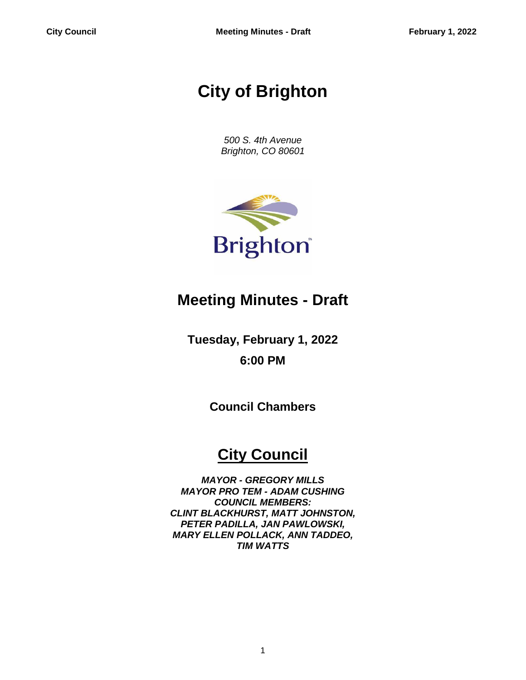# **City of Brighton**

*500 S. 4th Avenue Brighton, CO 80601*



## **Meeting Minutes - Draft**

**Tuesday, February 1, 2022 6:00 PM**

**Council Chambers**

## **City Council**

*MAYOR - GREGORY MILLS MAYOR PRO TEM - ADAM CUSHING COUNCIL MEMBERS: CLINT BLACKHURST, MATT JOHNSTON, PETER PADILLA, JAN PAWLOWSKI, MARY ELLEN POLLACK, ANN TADDEO, TIM WATTS*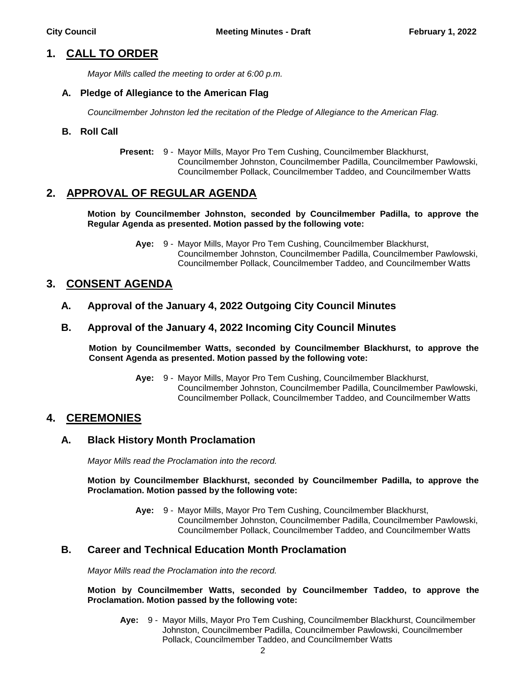## **1. CALL TO ORDER**

*Mayor Mills called the meeting to order at 6:00 p.m.*

#### **A. Pledge of Allegiance to the American Flag**

*Councilmember Johnston led the recitation of the Pledge of Allegiance to the American Flag.*

#### **B. Roll Call**

**Present:** 9 - Mayor Mills, Mayor Pro Tem Cushing, Councilmember Blackhurst, Councilmember Johnston, Councilmember Padilla, Councilmember Pawlowski, Councilmember Pollack, Councilmember Taddeo, and Councilmember Watts

## **2. APPROVAL OF REGULAR AGENDA**

#### **Motion by Councilmember Johnston, seconded by Councilmember Padilla, to approve the Regular Agenda as presented. Motion passed by the following vote:**

**Aye:** 9 - Mayor Mills, Mayor Pro Tem Cushing, Councilmember Blackhurst, Councilmember Johnston, Councilmember Padilla, Councilmember Pawlowski, Councilmember Pollack, Councilmember Taddeo, and Councilmember Watts

## **3. CONSENT AGENDA**

**A. Approval of the January 4, 2022 Outgoing City Council Minutes**

#### **B. Approval of the January 4, 2022 Incoming City Council Minutes**

**Motion by Councilmember Watts, seconded by Councilmember Blackhurst, to approve the Consent Agenda as presented. Motion passed by the following vote:**

> **Aye:** 9 - Mayor Mills, Mayor Pro Tem Cushing, Councilmember Blackhurst, Councilmember Johnston, Councilmember Padilla, Councilmember Pawlowski, Councilmember Pollack, Councilmember Taddeo, and Councilmember Watts

## **4. CEREMONIES**

#### **A. Black History Month Proclamation**

*Mayor Mills read the Proclamation into the record.*

**Motion by Councilmember Blackhurst, seconded by Councilmember Padilla, to approve the Proclamation. Motion passed by the following vote:**

> **Aye:** 9 - Mayor Mills, Mayor Pro Tem Cushing, Councilmember Blackhurst, Councilmember Johnston, Councilmember Padilla, Councilmember Pawlowski, Councilmember Pollack, Councilmember Taddeo, and Councilmember Watts

#### **B. Career and Technical Education Month Proclamation**

*Mayor Mills read the Proclamation into the record.*

#### **Motion by Councilmember Watts, seconded by Councilmember Taddeo, to approve the Proclamation. Motion passed by the following vote:**

**Aye:** 9 - Mayor Mills, Mayor Pro Tem Cushing, Councilmember Blackhurst, Councilmember Johnston, Councilmember Padilla, Councilmember Pawlowski, Councilmember Pollack, Councilmember Taddeo, and Councilmember Watts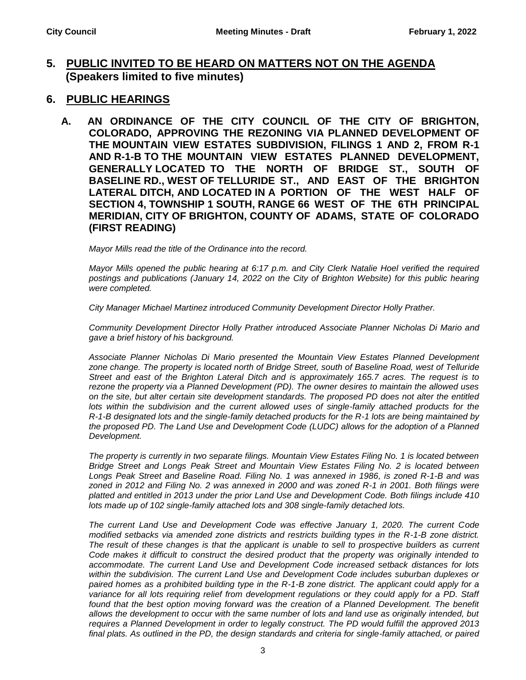## **5. PUBLIC INVITED TO BE HEARD ON MATTERS NOT ON THE AGENDA (Speakers limited to five minutes)**

- **6. PUBLIC HEARINGS**
	- **A. AN ORDINANCE OF THE CITY COUNCIL OF THE CITY OF BRIGHTON, COLORADO, APPROVING THE REZONING VIA PLANNED DEVELOPMENT OF THE MOUNTAIN VIEW ESTATES SUBDIVISION, FILINGS 1 AND 2, FROM R-1 AND R-1-B TO THE MOUNTAIN VIEW ESTATES PLANNED DEVELOPMENT, GENERALLY LOCATED TO THE NORTH OF BRIDGE ST., SOUTH OF BASELINE RD., WEST OF TELLURIDE ST., AND EAST OF THE BRIGHTON LATERAL DITCH, AND LOCATED IN A PORTION OF THE WEST HALF OF SECTION 4, TOWNSHIP 1 SOUTH, RANGE 66 WEST OF THE 6TH PRINCIPAL MERIDIAN, CITY OF BRIGHTON, COUNTY OF ADAMS, STATE OF COLORADO (FIRST READING)**

*Mayor Mills read the title of the Ordinance into the record.*

*Mayor Mills opened the public hearing at 6:17 p.m. and City Clerk Natalie Hoel verified the required postings and publications (January 14, 2022 on the City of Brighton Website) for this public hearing were completed.*

*City Manager Michael Martinez introduced Community Development Director Holly Prather.*

*Community Development Director Holly Prather introduced Associate Planner Nicholas Di Mario and gave a brief history of his background.* 

*Associate Planner Nicholas Di Mario presented the Mountain View Estates Planned Development zone change. The property is located north of Bridge Street, south of Baseline Road, west of Telluride Street and east of the Brighton Lateral Ditch and is approximately 165.7 acres. The request is to rezone the property via a Planned Development (PD). The owner desires to maintain the allowed uses on the site, but alter certain site development standards. The proposed PD does not alter the entitled*  lots within the subdivision and the current allowed uses of single-family attached products for the *R-1-B designated lots and the single-family detached products for the R-1 lots are being maintained by the proposed PD. The Land Use and Development Code (LUDC) allows for the adoption of a Planned Development.* 

*The property is currently in two separate filings. Mountain View Estates Filing No. 1 is located between Bridge Street and Longs Peak Street and Mountain View Estates Filing No. 2 is located between Longs Peak Street and Baseline Road. Filing No. 1 was annexed in 1986, is zoned R-1-B and was zoned in 2012 and Filing No. 2 was annexed in 2000 and was zoned R-1 in 2001. Both filings were platted and entitled in 2013 under the prior Land Use and Development Code. Both filings include 410 lots made up of 102 single-family attached lots and 308 single-family detached lots.* 

*The current Land Use and Development Code was effective January 1, 2020. The current Code modified setbacks via amended zone districts and restricts building types in the R-1-B zone district. The result of these changes is that the applicant is unable to sell to prospective builders as current Code makes it difficult to construct the desired product that the property was originally intended to accommodate. The current Land Use and Development Code increased setback distances for lots within the subdivision. The current Land Use and Development Code includes suburban duplexes or paired homes as a prohibited building type in the R-1-B zone district. The applicant could apply for a*  variance for all lots requiring relief from development regulations or they could apply for a PD. Staff found that the best option moving forward was the creation of a Planned Development. The benefit *allows the development to occur with the same number of lots and land use as originally intended, but requires a Planned Development in order to legally construct. The PD would fulfill the approved 2013 final plats. As outlined in the PD, the design standards and criteria for single-family attached, or paired*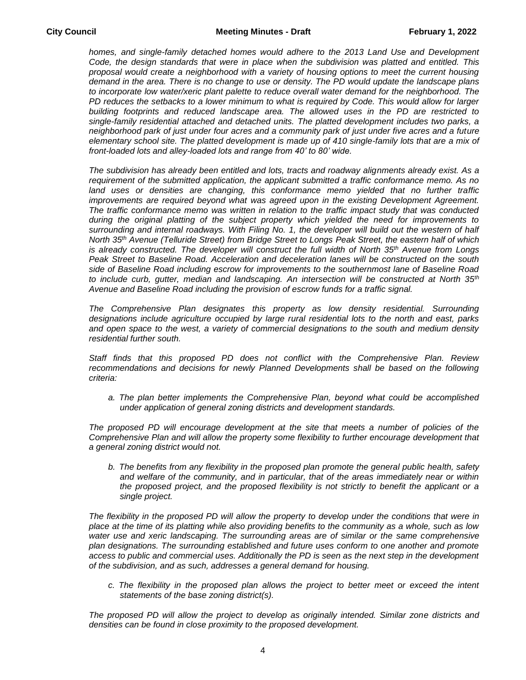*homes, and single-family detached homes would adhere to the 2013 Land Use and Development Code, the design standards that were in place when the subdivision was platted and entitled. This proposal would create a neighborhood with a variety of housing options to meet the current housing demand in the area. There is no change to use or density. The PD would update the landscape plans*  to incorporate low water/xeric plant palette to reduce overall water demand for the neighborhood. The *PD reduces the setbacks to a lower minimum to what is required by Code. This would allow for larger building footprints and reduced landscape area. The allowed uses in the PD are restricted to single-family residential attached and detached units. The platted development includes two parks, a neighborhood park of just under four acres and a community park of just under five acres and a future*  elementary school site. The platted development is made up of 410 single-family lots that are a mix of *front-loaded lots and alley-loaded lots and range from 40' to 80' wide.* 

*The subdivision has already been entitled and lots, tracts and roadway alignments already exist. As a requirement of the submitted application, the applicant submitted a traffic conformance memo. As no*  land uses or densities are changing, this conformance memo yielded that no further traffic *improvements are required beyond what was agreed upon in the existing Development Agreement. The traffic conformance memo was written in relation to the traffic impact study that was conducted during the original platting of the subject property which yielded the need for improvements to surrounding and internal roadways. With Filing No. 1, the developer will build out the western of half North 35th Avenue (Telluride Street) from Bridge Street to Longs Peak Street, the eastern half of which is already constructed. The developer will construct the full width of North 35th Avenue from Longs Peak Street to Baseline Road. Acceleration and deceleration lanes will be constructed on the south side of Baseline Road including escrow for improvements to the southernmost lane of Baseline Road to include curb, gutter, median and landscaping. An intersection will be constructed at North 35th Avenue and Baseline Road including the provision of escrow funds for a traffic signal.* 

*The Comprehensive Plan designates this property as low density residential. Surrounding designations include agriculture occupied by large rural residential lots to the north and east, parks and open space to the west, a variety of commercial designations to the south and medium density residential further south.* 

*Staff finds that this proposed PD does not conflict with the Comprehensive Plan. Review*  recommendations and decisions for newly Planned Developments shall be based on the following *criteria:*

*a. The plan better implements the Comprehensive Plan, beyond what could be accomplished under application of general zoning districts and development standards.*

*The proposed PD will encourage development at the site that meets a number of policies of the Comprehensive Plan and will allow the property some flexibility to further encourage development that a general zoning district would not.*

*b. The benefits from any flexibility in the proposed plan promote the general public health, safety and welfare of the community, and in particular, that of the areas immediately near or within the proposed project, and the proposed flexibility is not strictly to benefit the applicant or a single project.*

*The flexibility in the proposed PD will allow the property to develop under the conditions that were in place at the time of its platting while also providing benefits to the community as a whole, such as low*  water use and xeric landscaping. The surrounding areas are of similar or the same comprehensive *plan designations. The surrounding established and future uses conform to one another and promote access to public and commercial uses. Additionally the PD is seen as the next step in the development of the subdivision, and as such, addresses a general demand for housing.*

*c. The flexibility in the proposed plan allows the project to better meet or exceed the intent statements of the base zoning district(s).*

*The proposed PD will allow the project to develop as originally intended. Similar zone districts and densities can be found in close proximity to the proposed development.*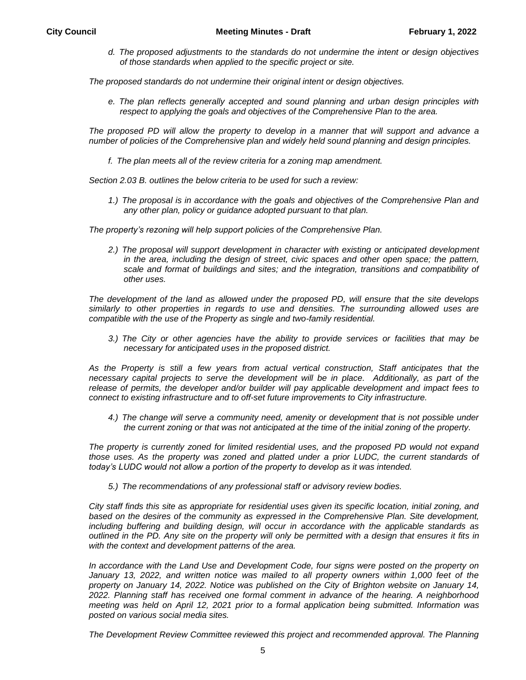*d. The proposed adjustments to the standards do not undermine the intent or design objectives of those standards when applied to the specific project or site.*

*The proposed standards do not undermine their original intent or design objectives.*

*e. The plan reflects generally accepted and sound planning and urban design principles with respect to applying the goals and objectives of the Comprehensive Plan to the area.*

*The proposed PD will allow the property to develop in a manner that will support and advance a number of policies of the Comprehensive plan and widely held sound planning and design principles.*

*f. The plan meets all of the review criteria for a zoning map amendment.*

*Section 2.03 B. outlines the below criteria to be used for such a review:*

*1.) The proposal is in accordance with the goals and objectives of the Comprehensive Plan and any other plan, policy or guidance adopted pursuant to that plan.*

*The property's rezoning will help support policies of the Comprehensive Plan.*

*2.) The proposal will support development in character with existing or anticipated development in the area, including the design of street, civic spaces and other open space; the pattern, scale and format of buildings and sites; and the integration, transitions and compatibility of other uses.*

*The development of the land as allowed under the proposed PD, will ensure that the site develops similarly to other properties in regards to use and densities. The surrounding allowed uses are compatible with the use of the Property as single and two-family residential.* 

*3.) The City or other agencies have the ability to provide services or facilities that may be necessary for anticipated uses in the proposed district.*

*As the Property is still a few years from actual vertical construction, Staff anticipates that the necessary capital projects to serve the development will be in place. Additionally, as part of the release of permits, the developer and/or builder will pay applicable development and impact fees to connect to existing infrastructure and to off-set future improvements to City infrastructure.*

*4.) The change will serve a community need, amenity or development that is not possible under the current zoning or that was not anticipated at the time of the initial zoning of the property.*

*The property is currently zoned for limited residential uses, and the proposed PD would not expand*  those uses. As the property was zoned and platted under a prior LUDC, the current standards of *today's LUDC would not allow a portion of the property to develop as it was intended.*

*5.) The recommendations of any professional staff or advisory review bodies.*

*City staff finds this site as appropriate for residential uses given its specific location, initial zoning, and based on the desires of the community as expressed in the Comprehensive Plan. Site development, including buffering and building design, will occur in accordance with the applicable standards as outlined in the PD. Any site on the property will only be permitted with a design that ensures it fits in with the context and development patterns of the area.*

In accordance with the Land Use and Development Code, four signs were posted on the property on January 13, 2022, and written notice was mailed to all property owners within 1,000 feet of the *property on January 14, 2022. Notice was published on the City of Brighton website on January 14, 2022. Planning staff has received one formal comment in advance of the hearing. A neighborhood meeting was held on April 12, 2021 prior to a formal application being submitted. Information was posted on various social media sites.* 

*The Development Review Committee reviewed this project and recommended approval. The Planning*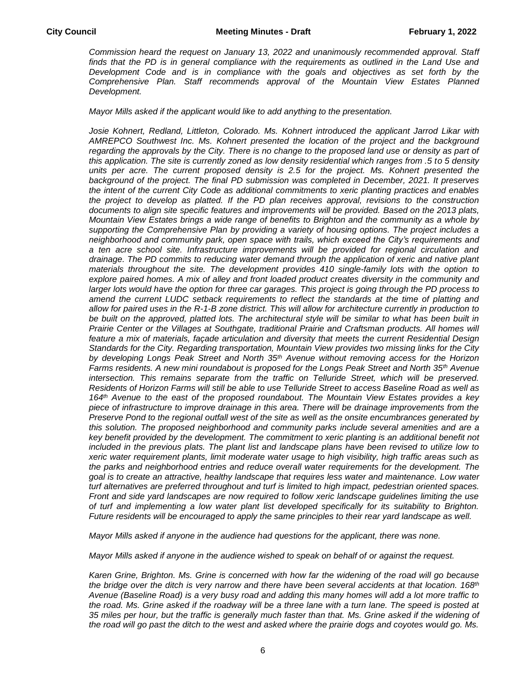*Commission heard the request on January 13, 2022 and unanimously recommended approval. Staff*  finds that the PD is in general compliance with the requirements as outlined in the Land Use and *Development Code and is in compliance with the goals and objectives as set forth by the Comprehensive Plan. Staff recommends approval of the Mountain View Estates Planned Development.* 

*Mayor Mills asked if the applicant would like to add anything to the presentation.*

*Josie Kohnert, Redland, Littleton, Colorado. Ms. Kohnert introduced the applicant Jarrod Likar with AMREPCO Southwest Inc. Ms. Kohnert presented the location of the project and the background regarding the approvals by the City. There is no change to the proposed land use or density as part of this application. The site is currently zoned as low density residential which ranges from .5 to 5 density units per acre. The current proposed density is 2.5 for the project. Ms. Kohnert presented the background of the project. The final PD submission was completed in December, 2021. It preserves the intent of the current City Code as additional commitments to xeric planting practices and enables the project to develop as platted. If the PD plan receives approval, revisions to the construction documents to align site specific features and improvements will be provided. Based on the 2013 plats, Mountain View Estates brings a wide range of benefits to Brighton and the community as a whole by supporting the Comprehensive Plan by providing a variety of housing options. The project includes a neighborhood and community park, open space with trails, which exceed the City's requirements and a ten acre school site. Infrastructure improvements will be provided for regional circulation and drainage. The PD commits to reducing water demand through the application of xeric and native plant materials throughout the site. The development provides 410 single-family lots with the option to*  explore paired homes. A mix of alley and front loaded product creates diversity in the community and *larger lots would have the option for three car garages. This project is going through the PD process to amend the current LUDC setback requirements to reflect the standards at the time of platting and allow for paired uses in the R-1-B zone district. This will allow for architecture currently in production to be built on the approved, platted lots. The architectural style will be similar to what has been built in Prairie Center or the Villages at Southgate, traditional Prairie and Craftsman products. All homes will feature a mix of materials, façade articulation and diversity that meets the current Residential Design Standards for the City. Regarding transportation, Mountain View provides two missing links for the City by developing Longs Peak Street and North 35th Avenue without removing access for the Horizon Farms residents. A new mini roundabout is proposed for the Longs Peak Street and North 35th Avenue intersection. This remains separate from the traffic on Telluride Street, which will be preserved. Residents of Horizon Farms will still be able to use Telluride Street to access Baseline Road as well as 164th Avenue to the east of the proposed roundabout. The Mountain View Estates provides a key piece of infrastructure to improve drainage in this area. There will be drainage improvements from the Preserve Pond to the regional outfall west of the site as well as the onsite encumbrances generated by this solution. The proposed neighborhood and community parks include several amenities and are a key benefit provided by the development. The commitment to xeric planting is an additional benefit not included in the previous plats. The plant list and landscape plans have been revised to utilize low to xeric water requirement plants, limit moderate water usage to high visibility, high traffic areas such as the parks and neighborhood entries and reduce overall water requirements for the development. The goal is to create an attractive, healthy landscape that requires less water and maintenance. Low water turf alternatives are preferred throughout and turf is limited to high impact, pedestrian oriented spaces. Front and side yard landscapes are now required to follow xeric landscape guidelines limiting the use of turf and implementing a low water plant list developed specifically for its suitability to Brighton. Future residents will be encouraged to apply the same principles to their rear yard landscape as well.* 

*Mayor Mills asked if anyone in the audience had questions for the applicant, there was none.*

*Mayor Mills asked if anyone in the audience wished to speak on behalf of or against the request.*

*Karen Grine, Brighton. Ms. Grine is concerned with how far the widening of the road will go because the bridge over the ditch is very narrow and there have been several accidents at that location. 168th Avenue (Baseline Road) is a very busy road and adding this many homes will add a lot more traffic to the road. Ms. Grine asked if the roadway will be a three lane with a turn lane. The speed is posted at 35 miles per hour, but the traffic is generally much faster than that. Ms. Grine asked if the widening of the road will go past the ditch to the west and asked where the prairie dogs and coyotes would go. Ms.*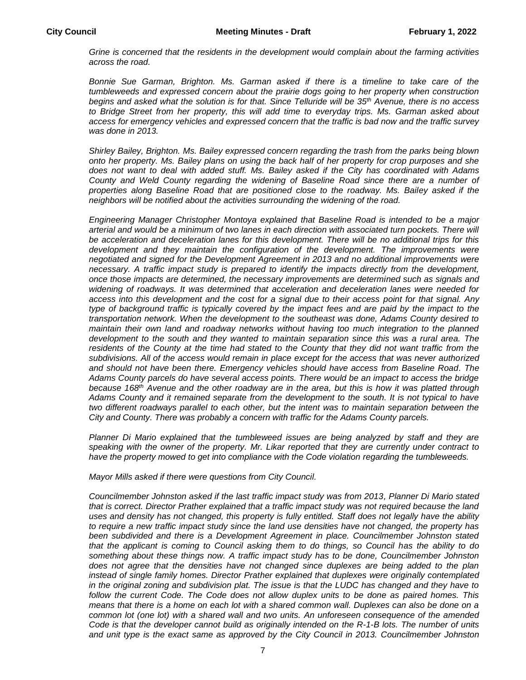*Grine is concerned that the residents in the development would complain about the farming activities across the road.* 

*Bonnie Sue Garman, Brighton. Ms. Garman asked if there is a timeline to take care of the tumbleweeds and expressed concern about the prairie dogs going to her property when construction begins and asked what the solution is for that. Since Telluride will be 35th Avenue, there is no access to Bridge Street from her property, this will add time to everyday trips. Ms. Garman asked about access for emergency vehicles and expressed concern that the traffic is bad now and the traffic survey was done in 2013.* 

*Shirley Bailey, Brighton. Ms. Bailey expressed concern regarding the trash from the parks being blown onto her property. Ms. Bailey plans on using the back half of her property for crop purposes and she does not want to deal with added stuff. Ms. Bailey asked if the City has coordinated with Adams County and Weld County regarding the widening of Baseline Road since there are a number of properties along Baseline Road that are positioned close to the roadway. Ms. Bailey asked if the neighbors will be notified about the activities surrounding the widening of the road.* 

*Engineering Manager Christopher Montoya explained that Baseline Road is intended to be a major arterial and would be a minimum of two lanes in each direction with associated turn pockets. There will be acceleration and deceleration lanes for this development. There will be no additional trips for this*  development and they maintain the configuration of the development. The improvements were *negotiated and signed for the Development Agreement in 2013 and no additional improvements were necessary. A traffic impact study is prepared to identify the impacts directly from the development, once those impacts are determined, the necessary improvements are determined such as signals and widening of roadways. It was determined that acceleration and deceleration lanes were needed for access into this development and the cost for a signal due to their access point for that signal. Any type of background traffic is typically covered by the impact fees and are paid by the impact to the transportation network. When the development to the southeast was done, Adams County desired to maintain their own land and roadway networks without having too much integration to the planned*  development to the south and they wanted to maintain separation since this was a rural area. The residents of the County at the time had stated to the County that they did not want traffic from the *subdivisions. All of the access would remain in place except for the access that was never authorized and should not have been there. Emergency vehicles should have access from Baseline Road. The Adams County parcels do have several access points. There would be an impact to access the bridge because 168th Avenue and the other roadway are in the area, but this is how it was platted through Adams County and it remained separate from the development to the south. It is not typical to have two different roadways parallel to each other, but the intent was to maintain separation between the City and County. There was probably a concern with traffic for the Adams County parcels.* 

*Planner Di Mario explained that the tumbleweed issues are being analyzed by staff and they are speaking with the owner of the property. Mr. Likar reported that they are currently under contract to have the property mowed to get into compliance with the Code violation regarding the tumbleweeds.*

*Mayor Mills asked if there were questions from City Council.*

*Councilmember Johnston asked if the last traffic impact study was from 2013, Planner Di Mario stated that is correct. Director Prather explained that a traffic impact study was not required because the land uses and density has not changed, this property is fully entitled. Staff does not legally have the ability to require a new traffic impact study since the land use densities have not changed, the property has been subdivided and there is a Development Agreement in place. Councilmember Johnston stated that the applicant is coming to Council asking them to do things, so Council has the ability to do something about these things now. A traffic impact study has to be done, Councilmember Johnston does not agree that the densities have not changed since duplexes are being added to the plan instead of single family homes. Director Prather explained that duplexes were originally contemplated in the original zoning and subdivision plat. The issue is that the LUDC has changed and they have to follow the current Code. The Code does not allow duplex units to be done as paired homes. This means that there is a home on each lot with a shared common wall. Duplexes can also be done on a common lot (one lot) with a shared wall and two units. An unforeseen consequence of the amended Code is that the developer cannot build as originally intended on the R-1-B lots. The number of units and unit type is the exact same as approved by the City Council in 2013. Councilmember Johnston*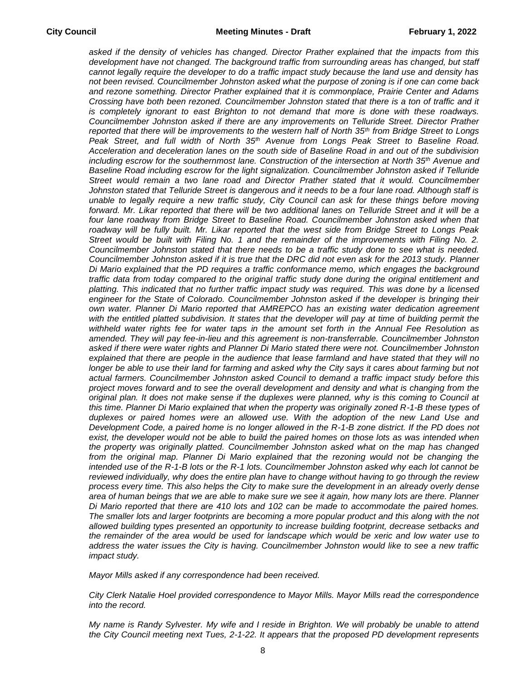*asked if the density of vehicles has changed. Director Prather explained that the impacts from this*  development have not changed. The background traffic from surrounding areas has changed, but staff *cannot legally require the developer to do a traffic impact study because the land use and density has not been revised. Councilmember Johnston asked what the purpose of zoning is if one can come back and rezone something. Director Prather explained that it is commonplace, Prairie Center and Adams Crossing have both been rezoned. Councilmember Johnston stated that there is a ton of traffic and it is completely ignorant to east Brighton to not demand that more is done with these roadways. Councilmember Johnston asked if there are any improvements on Telluride Street. Director Prather reported that there will be improvements to the western half of North 35th from Bridge Street to Longs Peak Street, and full width of North 35th Avenue from Longs Peak Street to Baseline Road. Acceleration and deceleration lanes on the south side of Baseline Road in and out of the subdivision including escrow for the southernmost lane. Construction of the intersection at North 35th Avenue and Baseline Road including escrow for the light signalization. Councilmember Johnston asked if Telluride Street would remain a two lane road and Director Prather stated that it would. Councilmember Johnston stated that Telluride Street is dangerous and it needs to be a four lane road. Although staff is unable to legally require a new traffic study, City Council can ask for these things before moving forward. Mr. Likar reported that there will be two additional lanes on Telluride Street and it will be a*  four lane roadway from Bridge Street to Baseline Road. Councilmember Johnston asked when that *roadway will be fully built. Mr. Likar reported that the west side from Bridge Street to Longs Peak*  Street would be built with Filing No. 1 and the remainder of the improvements with Filing No. 2. *Councilmember Johnston stated that there needs to be a traffic study done to see what is needed. Councilmember Johnston asked if it is true that the DRC did not even ask for the 2013 study. Planner Di Mario explained that the PD requires a traffic conformance memo, which engages the background*  traffic data from today compared to the original traffic study done during the original entitlement and *platting. This indicated that no further traffic impact study was required. This was done by a licensed engineer for the State of Colorado. Councilmember Johnston asked if the developer is bringing their own water. Planner Di Mario reported that AMREPCO has an existing water dedication agreement*  with the entitled platted subdivision. It states that the developer will pay at time of building permit the *withheld water rights fee for water taps in the amount set forth in the Annual Fee Resolution as amended. They will pay fee-in-lieu and this agreement is non-transferrable. Councilmember Johnston asked if there were water rights and Planner Di Mario stated there were not. Councilmember Johnston explained that there are people in the audience that lease farmland and have stated that they will no*  longer be able to use their land for farming and asked why the City says it cares about farming but not *actual farmers. Councilmember Johnston asked Council to demand a traffic impact study before this project moves forward and to see the overall development and density and what is changing from the original plan. It does not make sense if the duplexes were planned, why is this coming to Council at this time. Planner Di Mario explained that when the property was originally zoned R-1-B these types of*  duplexes or paired homes were an allowed use. With the adoption of the new Land Use and *Development Code, a paired home is no longer allowed in the R-1-B zone district. If the PD does not exist, the developer would not be able to build the paired homes on those lots as was intended when the property was originally platted. Councilmember Johnston asked what on the map has changed from the original map. Planner Di Mario explained that the rezoning would not be changing the intended use of the R-1-B lots or the R-1 lots. Councilmember Johnston asked why each lot cannot be reviewed individually, why does the entire plan have to change without having to go through the review process every time. This also helps the City to make sure the development in an already overly dense area of human beings that we are able to make sure we see it again, how many lots are there. Planner Di Mario reported that there are 410 lots and 102 can be made to accommodate the paired homes. The smaller lots and larger footprints are becoming a more popular product and this along with the not allowed building types presented an opportunity to increase building footprint, decrease setbacks and the remainder of the area would be used for landscape which would be xeric and low water use to address the water issues the City is having. Councilmember Johnston would like to see a new traffic impact study.* 

*Mayor Mills asked if any correspondence had been received.* 

*City Clerk Natalie Hoel provided correspondence to Mayor Mills. Mayor Mills read the correspondence into the record.*

*My name is Randy Sylvester. My wife and I reside in Brighton. We will probably be unable to attend the City Council meeting next Tues, 2-1-22. It appears that the proposed PD development represents*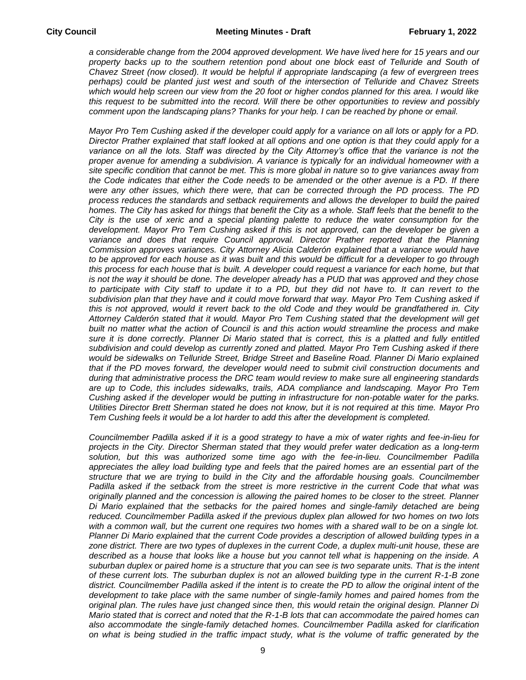*a considerable change from the 2004 approved development. We have lived here for 15 years and our*  property backs up to the southern retention pond about one block east of Telluride and South of *Chavez Street (now closed). It would be helpful if appropriate landscaping (a few of evergreen trees perhaps) could be planted just west and south of the intersection of Telluride and Chavez Streets which would help screen our view from the 20 foot or higher condos planned for this area. I would like this request to be submitted into the record. Will there be other opportunities to review and possibly comment upon the landscaping plans? Thanks for your help. I can be reached by phone or email.*

*Mayor Pro Tem Cushing asked if the developer could apply for a variance on all lots or apply for a PD. Director Prather explained that staff looked at all options and one option is that they could apply for a variance on all the lots. Staff was directed by the City Attorney's office that the variance is not the proper avenue for amending a subdivision. A variance is typically for an individual homeowner with a site specific condition that cannot be met. This is more global in nature so to give variances away from the Code indicates that either the Code needs to be amended or the other avenue is a PD. If there were any other issues, which there were, that can be corrected through the PD process. The PD process reduces the standards and setback requirements and allows the developer to build the paired homes. The City has asked for things that benefit the City as a whole. Staff feels that the benefit to the City is the use of xeric and a special planting palette to reduce the water consumption for the*  development. Mayor Pro Tem Cushing asked if this is not approved, can the developer be given a *variance and does that require Council approval. Director Prather reported that the Planning Commission approves variances. City Attorney Alicia Calderón explained that a variance would have to be approved for each house as it was built and this would be difficult for a developer to go through this process for each house that is built. A developer could request a variance for each home, but that is not the way it should be done. The developer already has a PUD that was approved and they chose*  to participate with City staff to update it to a PD, but they did not have to. It can revert to the *subdivision plan that they have and it could move forward that way. Mayor Pro Tem Cushing asked if this is not approved, would it revert back to the old Code and they would be grandfathered in. City Attorney Calderón stated that it would. Mayor Pro Tem Cushing stated that the development will get built no matter what the action of Council is and this action would streamline the process and make*  sure it is done correctly. Planner Di Mario stated that is correct, this is a platted and fully entitled *subdivision and could develop as currently zoned and platted. Mayor Pro Tem Cushing asked if there would be sidewalks on Telluride Street, Bridge Street and Baseline Road. Planner Di Mario explained that if the PD moves forward, the developer would need to submit civil construction documents and during that administrative process the DRC team would review to make sure all engineering standards are up to Code, this includes sidewalks, trails, ADA compliance and landscaping. Mayor Pro Tem Cushing asked if the developer would be putting in infrastructure for non-potable water for the parks. Utilities Director Brett Sherman stated he does not know, but it is not required at this time. Mayor Pro Tem Cushing feels it would be a lot harder to add this after the development is completed.* 

*Councilmember Padilla asked if it is a good strategy to have a mix of water rights and fee-in-lieu for projects in the City. Director Sherman stated that they would prefer water dedication as a long-term solution, but this was authorized some time ago with the fee-in-lieu. Councilmember Padilla appreciates the alley load building type and feels that the paired homes are an essential part of the structure that we are trying to build in the City and the affordable housing goals. Councilmember Padilla asked if the setback from the street is more restrictive in the current Code that what was originally planned and the concession is allowing the paired homes to be closer to the street. Planner Di Mario explained that the setbacks for the paired homes and single-family detached are being reduced. Councilmember Padilla asked if the previous duplex plan allowed for two homes on two lots*  with a common wall, but the current one requires two homes with a shared wall to be on a single lot. *Planner Di Mario explained that the current Code provides a description of allowed building types in a zone district. There are two types of duplexes in the current Code, a duplex multi-unit house, these are described as a house that looks like a house but you cannot tell what is happening on the inside. A suburban duplex or paired home is a structure that you can see is two separate units. That is the intent of these current lots. The suburban duplex is not an allowed building type in the current R-1-B zone district. Councilmember Padilla asked if the intent is to create the PD to allow the original intent of the*  development to take place with the same number of single-family homes and paired homes from the *original plan. The rules have just changed since then, this would retain the original design. Planner Di Mario stated that is correct and noted that the R-1-B lots that can accommodate the paired homes can also accommodate the single-family detached homes. Councilmember Padilla asked for clarification on what is being studied in the traffic impact study, what is the volume of traffic generated by the*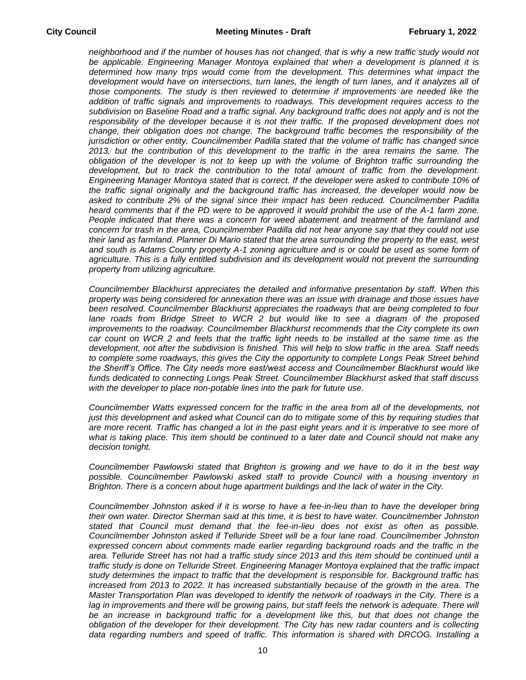*neighborhood and if the number of houses has not changed, that is why a new traffic study would not be applicable. Engineering Manager Montoya explained that when a development is planned it is*  determined how many trips would come from the development. This determines what impact the *development would have on intersections, turn lanes, the length of turn lanes, and it analyzes all of those components. The study is then reviewed to determine if improvements are needed like the addition of traffic signals and improvements to roadways. This development requires access to the subdivision on Baseline Road and a traffic signal. Any background traffic does not apply and is not the*  responsibility of the developer because it is not their traffic. If the proposed development does not *change, their obligation does not change. The background traffic becomes the responsibility of the jurisdiction or other entity. Councilmember Padilla stated that the volume of traffic has changed since 2013, but the contribution of this development to the traffic in the area remains the same. The obligation of the developer is not to keep up with the volume of Brighton traffic surrounding the development, but to track the contribution to the total amount of traffic from the development. Engineering Manager Montoya stated that is correct. If the developer were asked to contribute 10% of the traffic signal originally and the background traffic has increased, the developer would now be asked to contribute 2% of the signal since their impact has been reduced. Councilmember Padilla*  heard comments that if the PD were to be approved it would prohibit the use of the A-1 farm zone. *People indicated that there was a concern for weed abatement and treatment of the farmland and concern for trash in the area, Councilmember Padilla did not hear anyone say that they could not use their land as farmland. Planner Di Mario stated that the area surrounding the property to the east, west and south is Adams County property A-1 zoning agriculture and is or could be used as some form of agriculture. This is a fully entitled subdivision and its development would not prevent the surrounding property from utilizing agriculture.* 

*Councilmember Blackhurst appreciates the detailed and informative presentation by staff. When this property was being considered for annexation there was an issue with drainage and those issues have been resolved. Councilmember Blackhurst appreciates the roadways that are being completed to four lane roads from Bridge Street to WCR 2 but would like to see a diagram of the proposed improvements to the roadway. Councilmember Blackhurst recommends that the City complete its own car count on WCR 2 and feels that the traffic light needs to be installed at the same time as the development, not after the subdivision is finished. This will help to slow traffic in the area. Staff needs to complete some roadways, this gives the City the opportunity to complete Longs Peak Street behind the Sheriff's Office. The City needs more east/west access and Councilmember Blackhurst would like funds dedicated to connecting Longs Peak Street. Councilmember Blackhurst asked that staff discuss with the developer to place non-potable lines into the park for future use.* 

*Councilmember Watts expressed concern for the traffic in the area from all of the developments, not just this development and asked what Council can do to mitigate some of this by requiring studies that are more recent. Traffic has changed a lot in the past eight years and it is imperative to see more of what is taking place. This item should be continued to a later date and Council should not make any decision tonight.* 

*Councilmember Pawlowski stated that Brighton is growing and we have to do it in the best way possible. Councilmember Pawlowski asked staff to provide Council with a housing inventory in Brighton. There is a concern about huge apartment buildings and the lack of water in the City.* 

*Councilmember Johnston asked if it is worse to have a fee-in-lieu than to have the developer bring their own water. Director Sherman said at this time, it is best to have water. Councilmember Johnston stated that Council must demand that the fee-in-lieu does not exist as often as possible. Councilmember Johnston asked if Telluride Street will be a four lane road. Councilmember Johnston*  expressed concern about comments made earlier regarding background roads and the traffic in the *area. Telluride Street has not had a traffic study since 2013 and this item should be continued until a traffic study is done on Telluride Street. Engineering Manager Montoya explained that the traffic impact study determines the impact to traffic that the development is responsible for. Background traffic has*  increased from 2013 to 2022. It has increased substantially because of the growth in the area. The *Master Transportation Plan was developed to identify the network of roadways in the City. There is a*  lag in improvements and there will be growing pains, but staff feels the network is adequate. There will be an increase in background traffic for a development like this, but that does not change the *obligation of the developer for their development. The City has new radar counters and is collecting data regarding numbers and speed of traffic. This information is shared with DRCOG. Installing a*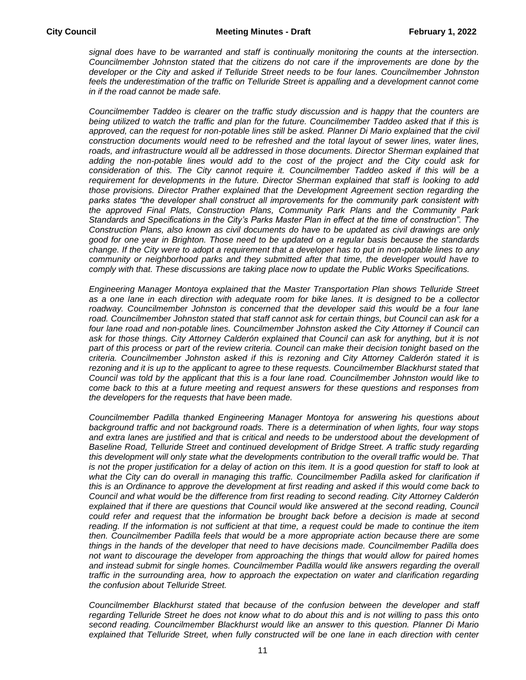*signal does have to be warranted and staff is continually monitoring the counts at the intersection. Councilmember Johnston stated that the citizens do not care if the improvements are done by the developer or the City and asked if Telluride Street needs to be four lanes. Councilmember Johnston*  feels the underestimation of the traffic on Telluride Street is appalling and a development cannot come *in if the road cannot be made safe.* 

*Councilmember Taddeo is clearer on the traffic study discussion and is happy that the counters are being utilized to watch the traffic and plan for the future. Councilmember Taddeo asked that if this is approved, can the request for non-potable lines still be asked. Planner Di Mario explained that the civil construction documents would need to be refreshed and the total layout of sewer lines, water lines,*  roads, and infrastructure would all be addressed in those documents. Director Sherman explained that *adding the non-potable lines would add to the cost of the project and the City could ask for consideration of this. The City cannot require it. Councilmember Taddeo asked if this will be a requirement for developments in the future. Director Sherman explained that staff is looking to add those provisions. Director Prather explained that the Development Agreement section regarding the parks states "the developer shall construct all improvements for the community park consistent with the approved Final Plats, Construction Plans, Community Park Plans and the Community Park Standards and Specifications in the City's Parks Master Plan in effect at the time of construction". The Construction Plans, also known as civil documents do have to be updated as civil drawings are only good for one year in Brighton. Those need to be updated on a regular basis because the standards change. If the City were to adopt a requirement that a developer has to put in non-potable lines to any community or neighborhood parks and they submitted after that time, the developer would have to comply with that. These discussions are taking place now to update the Public Works Specifications.* 

*Engineering Manager Montoya explained that the Master Transportation Plan shows Telluride Street as a one lane in each direction with adequate room for bike lanes. It is designed to be a collector*  roadway. Councilmember Johnston is concerned that the developer said this would be a four lane road. Councilmember Johnston stated that staff cannot ask for certain things, but Council can ask for a *four lane road and non-potable lines. Councilmember Johnston asked the City Attorney if Council can*  ask for those things. City Attorney Calderón explained that Council can ask for anything, but it is not *part of this process or part of the review criteria. Council can make their decision tonight based on the criteria. Councilmember Johnston asked if this is rezoning and City Attorney Calderón stated it is*  rezoning and it is up to the applicant to agree to these requests. Councilmember Blackhurst stated that *Council was told by the applicant that this is a four lane road. Councilmember Johnston would like to come back to this at a future meeting and request answers for these questions and responses from the developers for the requests that have been made.* 

*Councilmember Padilla thanked Engineering Manager Montoya for answering his questions about background traffic and not background roads. There is a determination of when lights, four way stops and extra lanes are justified and that is critical and needs to be understood about the development of Baseline Road, Telluride Street and continued development of Bridge Street. A traffic study regarding this development will only state what the developments contribution to the overall traffic would be. That*  is not the proper justification for a delay of action on this item. It is a good question for staff to look at what the City can do overall in managing this traffic. Councilmember Padilla asked for clarification if *this is an Ordinance to approve the development at first reading and asked if this would come back to Council and what would be the difference from first reading to second reading. City Attorney Calderón*  explained that if there are questions that Council would like answered at the second reading, Council *could refer and request that the information be brought back before a decision is made at second reading. If the information is not sufficient at that time, a request could be made to continue the item then. Councilmember Padilla feels that would be a more appropriate action because there are some things in the hands of the developer that need to have decisions made. Councilmember Padilla does not want to discourage the developer from approaching the things that would allow for paired homes*  and instead submit for single homes. Councilmember Padilla would like answers regarding the overall *traffic in the surrounding area, how to approach the expectation on water and clarification regarding the confusion about Telluride Street.* 

*Councilmember Blackhurst stated that because of the confusion between the developer and staff regarding Telluride Street he does not know what to do about this and is not willing to pass this onto second reading. Councilmember Blackhurst would like an answer to this question. Planner Di Mario explained that Telluride Street, when fully constructed will be one lane in each direction with center*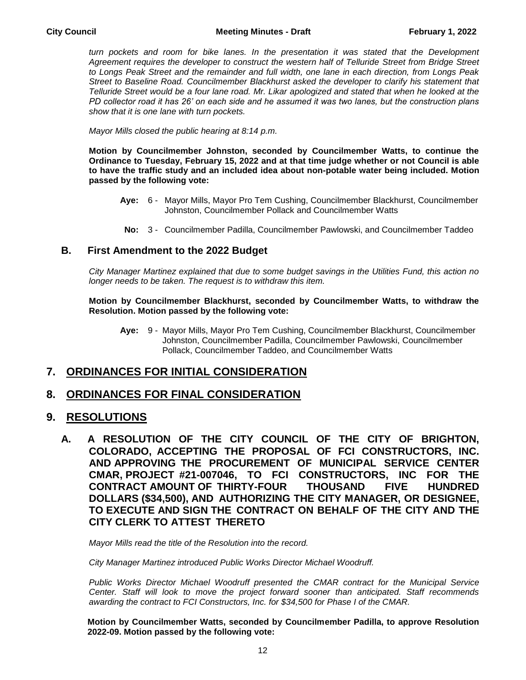*turn pockets and room for bike lanes. In the presentation it was stated that the Development Agreement requires the developer to construct the western half of Telluride Street from Bridge Street to Longs Peak Street and the remainder and full width, one lane in each direction, from Longs Peak Street to Baseline Road. Councilmember Blackhurst asked the developer to clarify his statement that Telluride Street would be a four lane road. Mr. Likar apologized and stated that when he looked at the PD collector road it has 26' on each side and he assumed it was two lanes, but the construction plans show that it is one lane with turn pockets.* 

*Mayor Mills closed the public hearing at 8:14 p.m.*

**Motion by Councilmember Johnston, seconded by Councilmember Watts, to continue the Ordinance to Tuesday, February 15, 2022 and at that time judge whether or not Council is able to have the traffic study and an included idea about non-potable water being included. Motion passed by the following vote:**

- **Aye:** 6 Mayor Mills, Mayor Pro Tem Cushing, Councilmember Blackhurst, Councilmember Johnston, Councilmember Pollack and Councilmember Watts
	- **No:** 3 Councilmember Padilla, Councilmember Pawlowski, and Councilmember Taddeo

#### **B. First Amendment to the 2022 Budget**

*City Manager Martinez explained that due to some budget savings in the Utilities Fund, this action no longer needs to be taken. The request is to withdraw this item.* 

**Motion by Councilmember Blackhurst, seconded by Councilmember Watts, to withdraw the Resolution. Motion passed by the following vote:**

**Aye:** 9 - Mayor Mills, Mayor Pro Tem Cushing, Councilmember Blackhurst, Councilmember Johnston, Councilmember Padilla, Councilmember Pawlowski, Councilmember Pollack, Councilmember Taddeo, and Councilmember Watts

## **7. ORDINANCES FOR INITIAL CONSIDERATION**

## **8. ORDINANCES FOR FINAL CONSIDERATION**

#### **9. RESOLUTIONS**

**A. A RESOLUTION OF THE CITY COUNCIL OF THE CITY OF BRIGHTON, COLORADO, ACCEPTING THE PROPOSAL OF FCI CONSTRUCTORS, INC. AND APPROVING THE PROCUREMENT OF MUNICIPAL SERVICE CENTER CMAR, PROJECT #21-007046, TO FCI CONSTRUCTORS, INC FOR THE CONTRACT AMOUNT OF THIRTY-FOUR THOUSAND FIVE HUNDRED DOLLARS (\$34,500), AND AUTHORIZING THE CITY MANAGER, OR DESIGNEE, TO EXECUTE AND SIGN THE CONTRACT ON BEHALF OF THE CITY AND THE CITY CLERK TO ATTEST THERETO**

*Mayor Mills read the title of the Resolution into the record.*

*City Manager Martinez introduced Public Works Director Michael Woodruff.* 

*Public Works Director Michael Woodruff presented the CMAR contract for the Municipal Service Center. Staff will look to move the project forward sooner than anticipated. Staff recommends awarding the contract to FCI Constructors, Inc. for \$34,500 for Phase I of the CMAR.*

**Motion by Councilmember Watts, seconded by Councilmember Padilla, to approve Resolution 2022-09. Motion passed by the following vote:**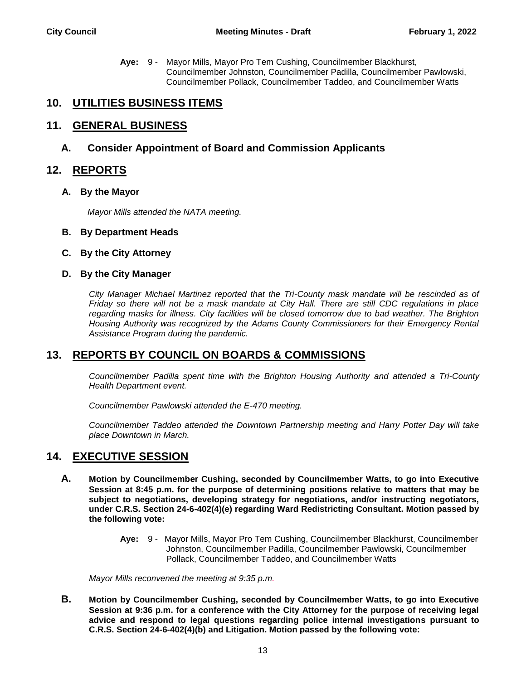**Aye:** 9 - Mayor Mills, Mayor Pro Tem Cushing, Councilmember Blackhurst, Councilmember Johnston, Councilmember Padilla, Councilmember Pawlowski, Councilmember Pollack, Councilmember Taddeo, and Councilmember Watts

## **10. UTILITIES BUSINESS ITEMS**

## **11. GENERAL BUSINESS**

#### **A. Consider Appointment of Board and Commission Applicants**

### **12. REPORTS**

#### **A. By the Mayor**

*Mayor Mills attended the NATA meeting.*

- **B. By Department Heads**
- **C. By the City Attorney**
- **D. By the City Manager**

*City Manager Michael Martinez reported that the Tri-County mask mandate will be rescinded as of Friday so there will not be a mask mandate at City Hall. There are still CDC regulations in place regarding masks for illness. City facilities will be closed tomorrow due to bad weather. The Brighton Housing Authority was recognized by the Adams County Commissioners for their Emergency Rental Assistance Program during the pandemic.* 

## **13. REPORTS BY COUNCIL ON BOARDS & COMMISSIONS**

*Councilmember Padilla spent time with the Brighton Housing Authority and attended a Tri-County Health Department event.* 

*Councilmember Pawlowski attended the E-470 meeting.*

*Councilmember Taddeo attended the Downtown Partnership meeting and Harry Potter Day will take place Downtown in March.*

## **14. EXECUTIVE SESSION**

- **A. Motion by Councilmember Cushing, seconded by Councilmember Watts, to go into Executive Session at 8:45 p.m. for the purpose of determining positions relative to matters that may be subject to negotiations, developing strategy for negotiations, and/or instructing negotiators, under C.R.S. Section 24-6-402(4)(e) regarding Ward Redistricting Consultant. Motion passed by the following vote:**
	- **Aye:** 9 Mayor Mills, Mayor Pro Tem Cushing, Councilmember Blackhurst, Councilmember Johnston, Councilmember Padilla, Councilmember Pawlowski, Councilmember Pollack, Councilmember Taddeo, and Councilmember Watts

*Mayor Mills reconvened the meeting at 9:35 p.m.*

**B. Motion by Councilmember Cushing, seconded by Councilmember Watts, to go into Executive Session at 9:36 p.m. for a conference with the City Attorney for the purpose of receiving legal advice and respond to legal questions regarding police internal investigations pursuant to C.R.S. Section 24-6-402(4)(b) and Litigation. Motion passed by the following vote:**